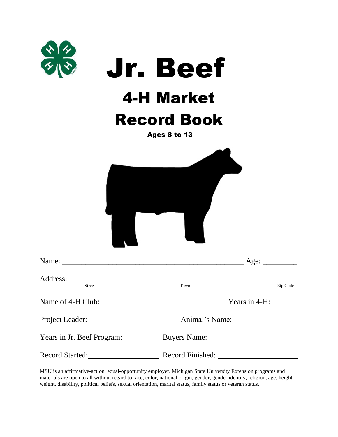| $\frac{1}{2}$                                     | <b>Jr. Beef</b><br><b>4-H Market</b><br><b>Record Book</b><br><b>Ages 8 to 13</b> |          |
|---------------------------------------------------|-----------------------------------------------------------------------------------|----------|
|                                                   |                                                                                   |          |
| Name:                                             | Age: $\overline{\phantom{a}}$                                                     |          |
| Street                                            | Town                                                                              | Zip Code |
|                                                   | Years in 4-H: $\_\_\_\_\_\_\_\_\_\_\_\_\_\_\_\_\_\_\_\_$                          |          |
|                                                   |                                                                                   |          |
| Years in Jr. Beef Program: Buyers Name: 1997      |                                                                                   |          |
| Record Started: Record Finished: Record Ensibled: |                                                                                   |          |

MSU is an affirmative-action, equal-opportunity employer. Michigan State University Extension programs and materials are open to all without regard to race, color, national origin, gender, gender identity, religion, age, height, weight, disability, political beliefs, sexual orientation, marital status, family status or veteran status.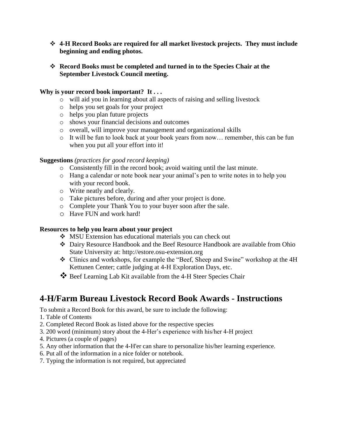- **4-H Record Books are required for all market livestock projects. They must include beginning and ending photos.**
- **Record Books must be completed and turned in to the Species Chair at the September Livestock Council meeting.**

#### **Why is your record book important? It . . .**

- o will aid you in learning about all aspects of raising and selling livestock
- o helps you set goals for your project
- o helps you plan future projects
- o shows your financial decisions and outcomes
- o overall, will improve your management and organizational skills
- o It will be fun to look back at your book years from now… remember, this can be fun when you put all your effort into it!

#### **Suggestions** *(practices for good record keeping)*

- o Consistently fill in the record book; avoid waiting until the last minute.
- o Hang a calendar or note book near your animal's pen to write notes in to help you with your record book.
- o Write neatly and clearly.
- o Take pictures before, during and after your project is done.
- o Complete your Thank You to your buyer soon after the sale.
- o Have FUN and work hard!

#### **Resources to help you learn about your project**

- MSU Extension has educational materials you can check out
- Dairy Resource Handbook and the Beef Resource Handbook are available from Ohio State University at: http://estore.osu-extension.org
- Clinics and workshops, for example the "Beef, Sheep and Swine" workshop at the 4H Kettunen Center; cattle judging at 4-H Exploration Days, etc.
- Beef Learning Lab Kit available from the 4-H Steer Species Chair

### **4-H/Farm Bureau Livestock Record Book Awards - Instructions**

To submit a Record Book for this award, be sure to include the following:

- 1. Table of Contents
- 2. Completed Record Book as listed above for the respective species
- 3. 200 word (minimum) story about the 4-Her's experience with his/her 4-H project
- 4. Pictures (a couple of pages)
- 5. Any other information that the 4-H'er can share to personalize his/her learning experience.
- 6. Put all of the information in a nice folder or notebook.
- 7. Typing the information is not required, but appreciated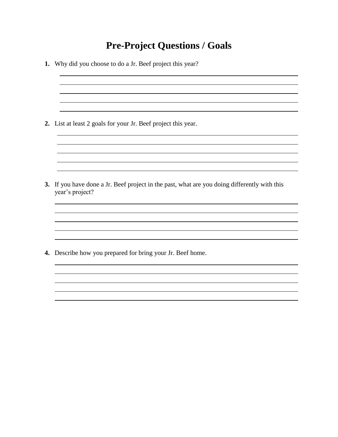### **Pre-Project Questions / Goals**

**1.** Why did you choose to do a Jr. Beef project this year? **2.** List at least 2 goals for your Jr. Beef project this year. <u> 1989 - Johann Stoff, deutscher Stoffen und der Stoffen und der Stoffen und der Stoffen und der Stoffen und der</u> <u> 1989 - Johann Stoff, deutscher Stoffen und der Stoffen und der Stoffen und der Stoffen und der Stoffen und de</u> **3.** If you have done a Jr. Beef project in the past, what are you doing differently with this year's project? **4.** Describe how you prepared for bring your Jr. Beef home.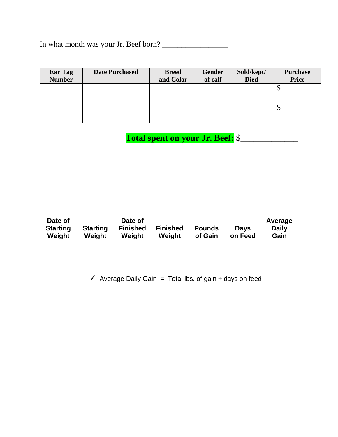In what month was your Jr. Beef born? \_\_\_\_\_\_\_\_\_\_\_\_\_\_\_\_\_

| Ear Tag<br><b>Number</b> | <b>Date Purchased</b> | <b>Breed</b><br>and Color | Gender<br>of calf | Sold/kept/<br><b>Died</b> | <b>Purchase</b><br><b>Price</b> |
|--------------------------|-----------------------|---------------------------|-------------------|---------------------------|---------------------------------|
|                          |                       |                           |                   |                           | $\downarrow$                    |
|                          |                       |                           |                   |                           | $\downarrow$                    |

 **Total spent on your Jr. Beef:** \$\_\_\_\_\_\_\_\_\_\_\_\_\_

| Date of<br><b>Starting</b><br>Weight | <b>Starting</b><br>Weight | Date of<br><b>Finished</b><br>Weight | <b>Finished</b><br>Weight | <b>Pounds</b><br>of Gain | <b>Days</b><br>on Feed | Average<br><b>Daily</b><br>Gain |
|--------------------------------------|---------------------------|--------------------------------------|---------------------------|--------------------------|------------------------|---------------------------------|
|                                      |                           |                                      |                           |                          |                        |                                 |

 $\checkmark$  Average Daily Gain = Total lbs. of gain  $\div$  days on feed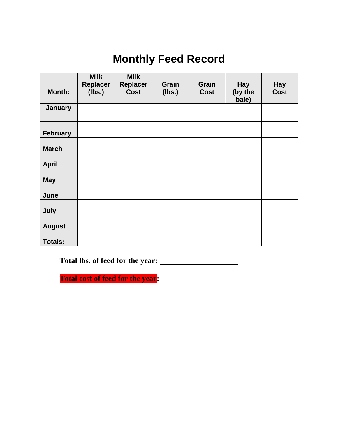# **Monthly Feed Record**

|                 | <b>Milk</b>               | <b>Milk</b>             |                        |                      |                                |                           |
|-----------------|---------------------------|-------------------------|------------------------|----------------------|--------------------------------|---------------------------|
| Month:          | <b>Replacer</b><br>(lbs.) | Replacer<br><b>Cost</b> | <b>Grain</b><br>(lbs.) | Grain<br><b>Cost</b> | <b>Hay</b><br>(by the<br>bale) | <b>Hay</b><br><b>Cost</b> |
| <b>January</b>  |                           |                         |                        |                      |                                |                           |
| <b>February</b> |                           |                         |                        |                      |                                |                           |
| <b>March</b>    |                           |                         |                        |                      |                                |                           |
| <b>April</b>    |                           |                         |                        |                      |                                |                           |
| <b>May</b>      |                           |                         |                        |                      |                                |                           |
| June            |                           |                         |                        |                      |                                |                           |
| July            |                           |                         |                        |                      |                                |                           |
| <b>August</b>   |                           |                         |                        |                      |                                |                           |
| <b>Totals:</b>  |                           |                         |                        |                      |                                |                           |

**Total lbs. of feed for the year:** 

**Total cost of feed for the year:**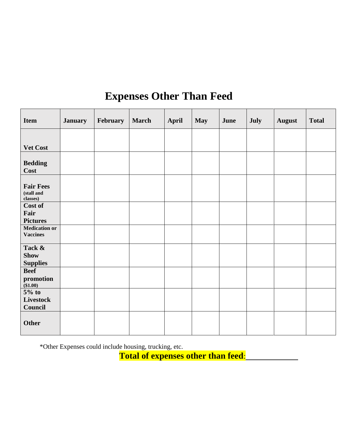# **Expenses Other Than Feed**

| <b>Item</b>                                | <b>January</b> | February | <b>March</b> | <b>April</b> | <b>May</b> | June | July | <b>August</b> | <b>Total</b> |
|--------------------------------------------|----------------|----------|--------------|--------------|------------|------|------|---------------|--------------|
|                                            |                |          |              |              |            |      |      |               |              |
| Vet Cost                                   |                |          |              |              |            |      |      |               |              |
| <b>Bedding</b><br><b>Cost</b>              |                |          |              |              |            |      |      |               |              |
| <b>Fair Fees</b><br>(stall and<br>classes) |                |          |              |              |            |      |      |               |              |
| Cost of<br>Fair<br><b>Pictures</b>         |                |          |              |              |            |      |      |               |              |
| <b>Medication or</b><br><b>Vaccines</b>    |                |          |              |              |            |      |      |               |              |
| Tack &<br><b>Show</b><br><b>Supplies</b>   |                |          |              |              |            |      |      |               |              |
| <b>Beef</b><br>promotion<br>(\$1.00)       |                |          |              |              |            |      |      |               |              |
| $5%$ to<br><b>Livestock</b><br>Council     |                |          |              |              |            |      |      |               |              |
| <b>Other</b>                               |                |          |              |              |            |      |      |               |              |

\*Other Expenses could include housing, trucking, etc.

**Total of expenses other than feed**: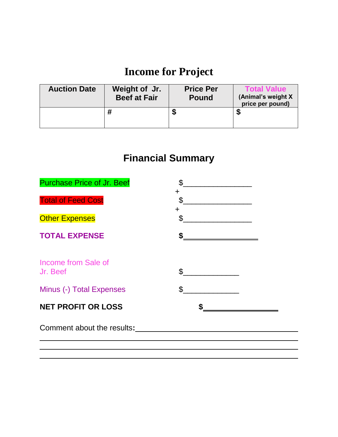# **Income for Project**

| <b>Auction Date</b> | Weight of Jr.<br><b>Beef at Fair</b> | <b>Price Per</b><br><b>Pound</b> | <b>Total Value</b><br>(Animal's weight X<br>price per pound) |
|---------------------|--------------------------------------|----------------------------------|--------------------------------------------------------------|
|                     |                                      | ъĐ                               |                                                              |

# **Financial Summary**

| <b>Purchase Price of Jr. Beef</b> | \$              |  |
|-----------------------------------|-----------------|--|
| <b>Total of Feed Cost</b>         | ┿<br>\$         |  |
| <b>Other Expenses</b>             | $\ddot{}$<br>\$ |  |
| <b>TOTAL EXPENSE</b>              | \$              |  |
| Income from Sale of<br>Jr. Beef   | \$              |  |
| Minus (-) Total Expenses          | \$              |  |
| <b>NET PROFIT OR LOSS</b>         |                 |  |
| Comment about the results:        |                 |  |
|                                   |                 |  |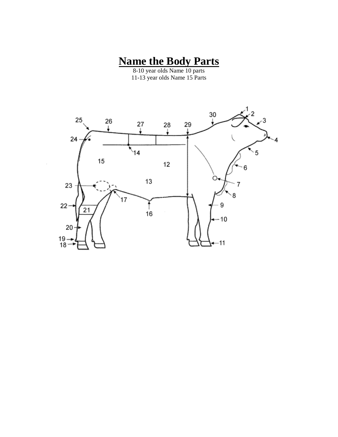### **Name the Body Parts**

8-10 year olds Name 10 parts 11-13 year olds Name 15 Parts

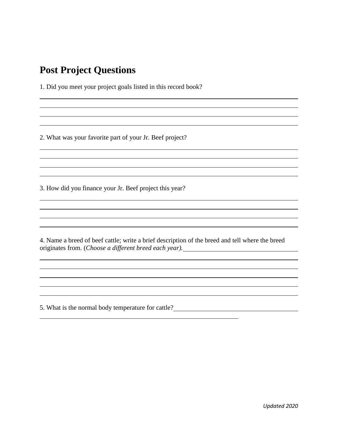### **Post Project Questions**

1. Did you meet your project goals listed in this record book?

2. What was your favorite part of your Jr. Beef project?

3. How did you finance your Jr. Beef project this year?

4. Name a breed of beef cattle; write a brief description of the breed and tell where the breed originates from. (*Choose a different breed each year).*

5. What is the normal body temperature for cattle?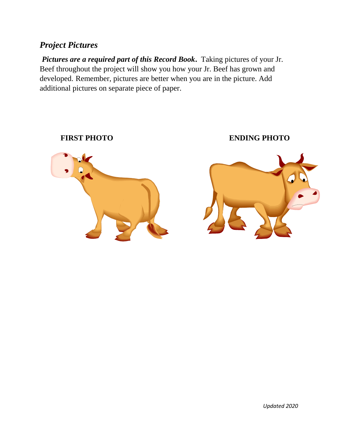### *Project Pictures*

*Pictures are a required part of this Record Book.* Taking pictures of your Jr. Beef throughout the project will show you how your Jr. Beef has grown and developed. Remember, pictures are better when you are in the picture. Add additional pictures on separate piece of paper.